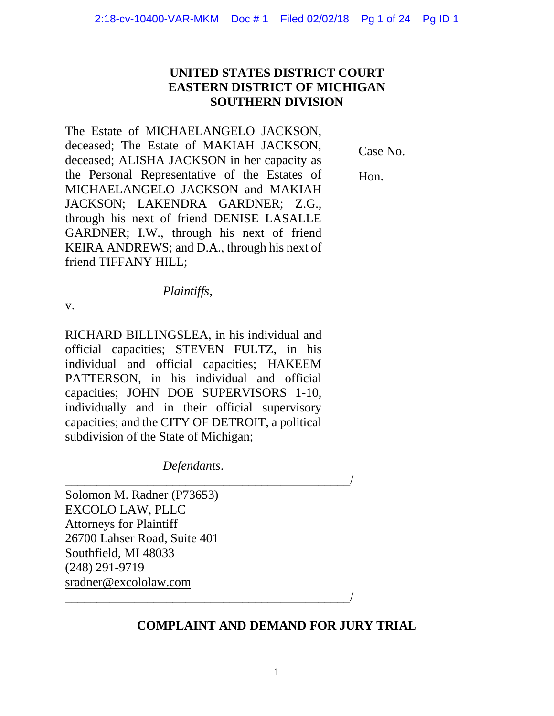# **UNITED STATES DISTRICT COURT EASTERN DISTRICT OF MICHIGAN SOUTHERN DIVISION**

The Estate of MICHAELANGELO JACKSON, deceased; The Estate of MAKIAH JACKSON, deceased; ALISHA JACKSON in her capacity as the Personal Representative of the Estates of MICHAELANGELO JACKSON and MAKIAH JACKSON; LAKENDRA GARDNER; Z.G., through his next of friend DENISE LASALLE GARDNER; I.W., through his next of friend KEIRA ANDREWS; and D.A., through his next of friend TIFFANY HILL;

Case No.

Hon.

*Plaintiffs*,

v.

RICHARD BILLINGSLEA, in his individual and official capacities; STEVEN FULTZ, in his individual and official capacities; HAKEEM PATTERSON, in his individual and official capacities; JOHN DOE SUPERVISORS 1-10, individually and in their official supervisory capacities; and the CITY OF DETROIT, a political subdivision of the State of Michigan;

*Defendants*.

\_\_\_\_\_\_\_\_\_\_\_\_\_\_\_\_\_\_\_\_\_\_\_\_\_\_\_\_\_\_\_\_\_\_\_\_\_\_\_\_\_\_\_\_\_/

\_\_\_\_\_\_\_\_\_\_\_\_\_\_\_\_\_\_\_\_\_\_\_\_\_\_\_\_\_\_\_\_\_\_\_\_\_\_\_\_\_\_\_\_\_/

Solomon M. Radner (P73653) EXCOLO LAW, PLLC Attorneys for Plaintiff 26700 Lahser Road, Suite 401 Southfield, MI 48033 (248) 291-9719 [sradner@excololaw.com](mailto:sradner@excololaw.com)

# **COMPLAINT AND DEMAND FOR JURY TRIAL**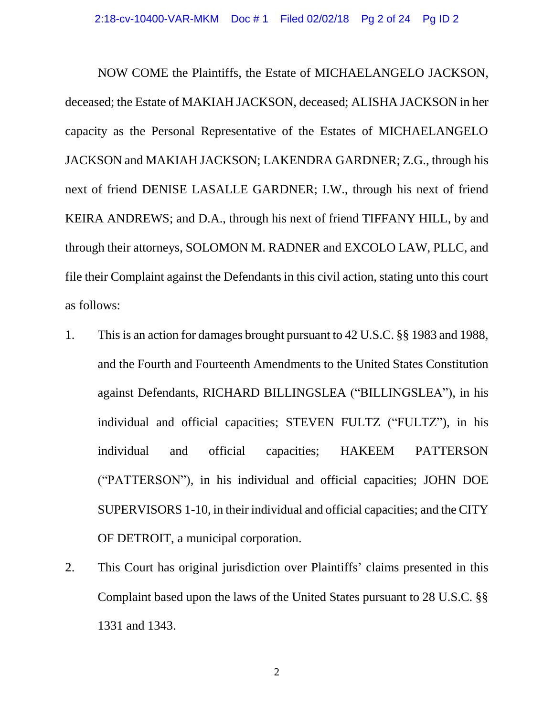NOW COME the Plaintiffs, the Estate of MICHAELANGELO JACKSON, deceased; the Estate of MAKIAH JACKSON, deceased; ALISHA JACKSON in her capacity as the Personal Representative of the Estates of MICHAELANGELO JACKSON and MAKIAH JACKSON; LAKENDRA GARDNER; Z.G., through his next of friend DENISE LASALLE GARDNER; I.W., through his next of friend KEIRA ANDREWS; and D.A., through his next of friend TIFFANY HILL, by and through their attorneys, SOLOMON M. RADNER and EXCOLO LAW, PLLC, and file their Complaint against the Defendants in this civil action, stating unto this court as follows:

- 1. This is an action for damages brought pursuant to 42 U.S.C. §§ 1983 and 1988, and the Fourth and Fourteenth Amendments to the United States Constitution against Defendants, RICHARD BILLINGSLEA ("BILLINGSLEA"), in his individual and official capacities; STEVEN FULTZ ("FULTZ"), in his individual and official capacities; HAKEEM PATTERSON ("PATTERSON"), in his individual and official capacities; JOHN DOE SUPERVISORS 1-10, in their individual and official capacities; and the CITY OF DETROIT, a municipal corporation.
- 2. This Court has original jurisdiction over Plaintiffs' claims presented in this Complaint based upon the laws of the United States pursuant to 28 U.S.C. §§ 1331 and 1343.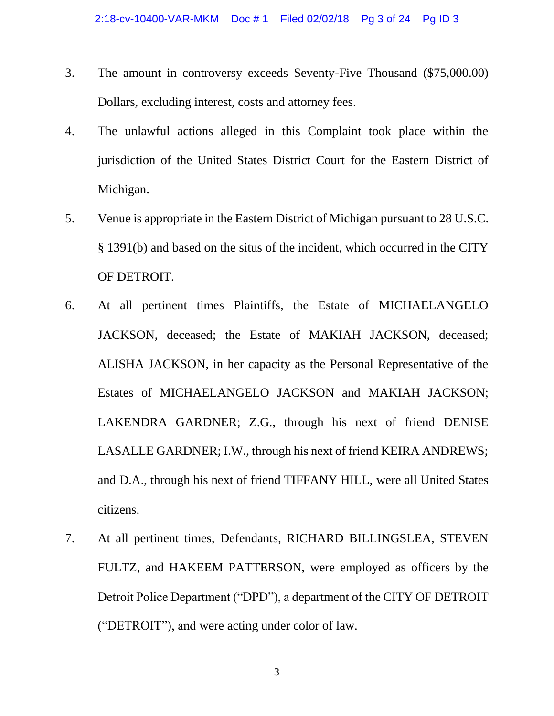- 3. The amount in controversy exceeds Seventy-Five Thousand (\$75,000.00) Dollars, excluding interest, costs and attorney fees.
- 4. The unlawful actions alleged in this Complaint took place within the jurisdiction of the United States District Court for the Eastern District of Michigan.
- 5. Venue is appropriate in the Eastern District of Michigan pursuant to 28 U.S.C. § 1391(b) and based on the situs of the incident, which occurred in the CITY OF DETROIT.
- 6. At all pertinent times Plaintiffs, the Estate of MICHAELANGELO JACKSON, deceased; the Estate of MAKIAH JACKSON, deceased; ALISHA JACKSON, in her capacity as the Personal Representative of the Estates of MICHAELANGELO JACKSON and MAKIAH JACKSON; LAKENDRA GARDNER; Z.G., through his next of friend DENISE LASALLE GARDNER; I.W., through his next of friend KEIRA ANDREWS; and D.A., through his next of friend TIFFANY HILL, were all United States citizens.
- 7. At all pertinent times, Defendants, RICHARD BILLINGSLEA, STEVEN FULTZ, and HAKEEM PATTERSON, were employed as officers by the Detroit Police Department ("DPD"), a department of the CITY OF DETROIT ("DETROIT"), and were acting under color of law.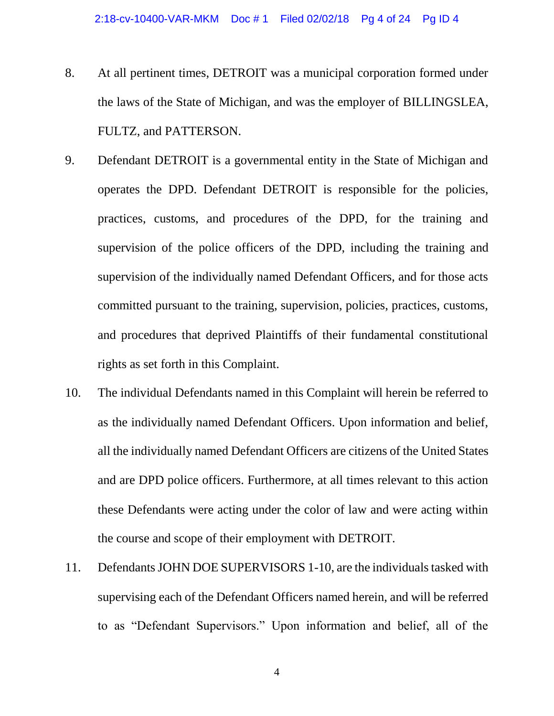- 8. At all pertinent times, DETROIT was a municipal corporation formed under the laws of the State of Michigan, and was the employer of BILLINGSLEA, FULTZ, and PATTERSON.
- 9. Defendant DETROIT is a governmental entity in the State of Michigan and operates the DPD. Defendant DETROIT is responsible for the policies, practices, customs, and procedures of the DPD, for the training and supervision of the police officers of the DPD, including the training and supervision of the individually named Defendant Officers, and for those acts committed pursuant to the training, supervision, policies, practices, customs, and procedures that deprived Plaintiffs of their fundamental constitutional rights as set forth in this Complaint.
- 10. The individual Defendants named in this Complaint will herein be referred to as the individually named Defendant Officers. Upon information and belief, all the individually named Defendant Officers are citizens of the United States and are DPD police officers. Furthermore, at all times relevant to this action these Defendants were acting under the color of law and were acting within the course and scope of their employment with DETROIT.
- 11. Defendants JOHN DOE SUPERVISORS 1-10, are the individuals tasked with supervising each of the Defendant Officers named herein, and will be referred to as "Defendant Supervisors." Upon information and belief, all of the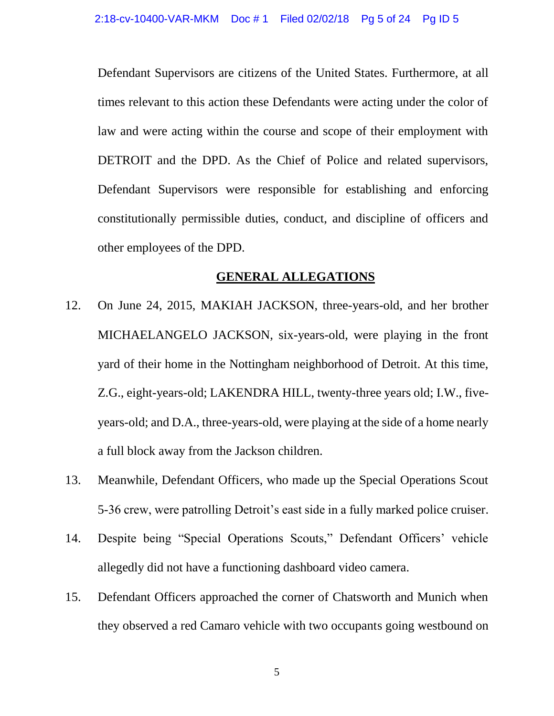Defendant Supervisors are citizens of the United States. Furthermore, at all times relevant to this action these Defendants were acting under the color of law and were acting within the course and scope of their employment with DETROIT and the DPD. As the Chief of Police and related supervisors, Defendant Supervisors were responsible for establishing and enforcing constitutionally permissible duties, conduct, and discipline of officers and other employees of the DPD.

#### **GENERAL ALLEGATIONS**

- 12. On June 24, 2015, MAKIAH JACKSON, three-years-old, and her brother MICHAELANGELO JACKSON, six-years-old, were playing in the front yard of their home in the Nottingham neighborhood of Detroit. At this time, Z.G., eight-years-old; LAKENDRA HILL, twenty-three years old; I.W., fiveyears-old; and D.A., three-years-old, were playing at the side of a home nearly a full block away from the Jackson children.
- 13. Meanwhile, Defendant Officers, who made up the Special Operations Scout 5-36 crew, were patrolling Detroit's east side in a fully marked police cruiser.
- 14. Despite being "Special Operations Scouts," Defendant Officers' vehicle allegedly did not have a functioning dashboard video camera.
- 15. Defendant Officers approached the corner of Chatsworth and Munich when they observed a red Camaro vehicle with two occupants going westbound on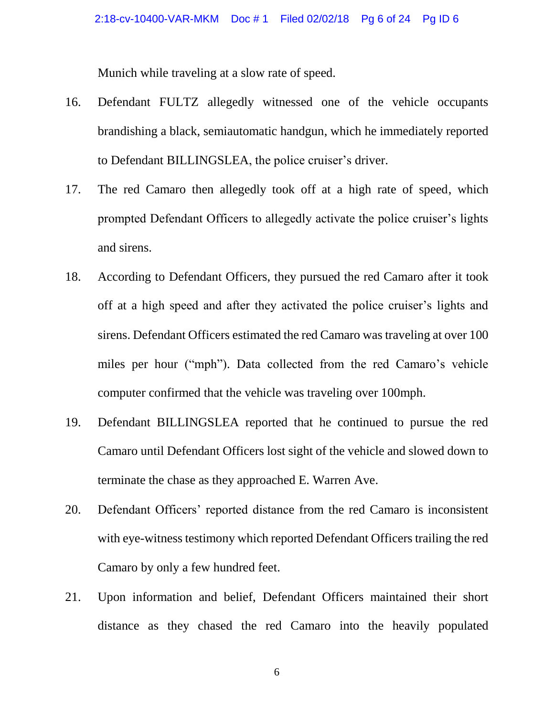Munich while traveling at a slow rate of speed.

- 16. Defendant FULTZ allegedly witnessed one of the vehicle occupants brandishing a black, semiautomatic handgun, which he immediately reported to Defendant BILLINGSLEA, the police cruiser's driver.
- 17. The red Camaro then allegedly took off at a high rate of speed, which prompted Defendant Officers to allegedly activate the police cruiser's lights and sirens.
- 18. According to Defendant Officers, they pursued the red Camaro after it took off at a high speed and after they activated the police cruiser's lights and sirens. Defendant Officers estimated the red Camaro was traveling at over 100 miles per hour ("mph"). Data collected from the red Camaro's vehicle computer confirmed that the vehicle was traveling over 100mph.
- 19. Defendant BILLINGSLEA reported that he continued to pursue the red Camaro until Defendant Officers lost sight of the vehicle and slowed down to terminate the chase as they approached E. Warren Ave.
- 20. Defendant Officers' reported distance from the red Camaro is inconsistent with eye-witness testimony which reported Defendant Officers trailing the red Camaro by only a few hundred feet.
- 21. Upon information and belief, Defendant Officers maintained their short distance as they chased the red Camaro into the heavily populated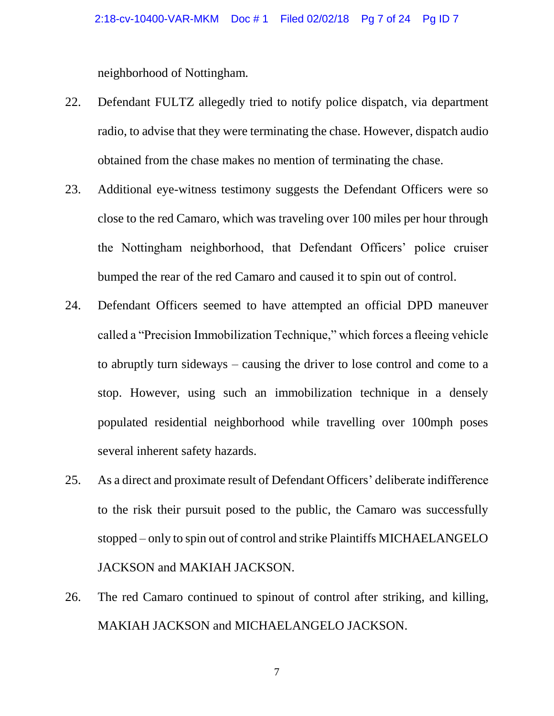neighborhood of Nottingham.

- 22. Defendant FULTZ allegedly tried to notify police dispatch, via department radio, to advise that they were terminating the chase. However, dispatch audio obtained from the chase makes no mention of terminating the chase.
- 23. Additional eye-witness testimony suggests the Defendant Officers were so close to the red Camaro, which was traveling over 100 miles per hour through the Nottingham neighborhood, that Defendant Officers' police cruiser bumped the rear of the red Camaro and caused it to spin out of control.
- 24. Defendant Officers seemed to have attempted an official DPD maneuver called a "Precision Immobilization Technique," which forces a fleeing vehicle to abruptly turn sideways – causing the driver to lose control and come to a stop. However, using such an immobilization technique in a densely populated residential neighborhood while travelling over 100mph poses several inherent safety hazards.
- 25. As a direct and proximate result of Defendant Officers' deliberate indifference to the risk their pursuit posed to the public, the Camaro was successfully stopped – only to spin out of control and strike Plaintiffs MICHAELANGELO JACKSON and MAKIAH JACKSON.
- 26. The red Camaro continued to spinout of control after striking, and killing, MAKIAH JACKSON and MICHAELANGELO JACKSON.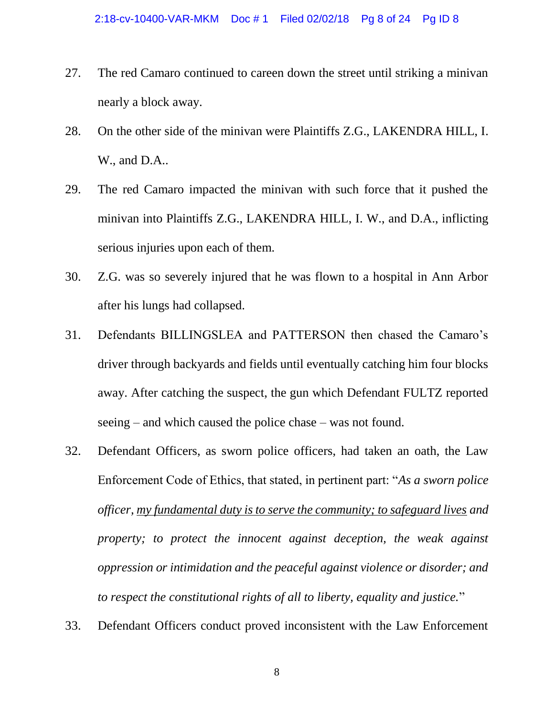- 27. The red Camaro continued to careen down the street until striking a minivan nearly a block away.
- 28. On the other side of the minivan were Plaintiffs Z.G., LAKENDRA HILL, I. W., and D.A..
- 29. The red Camaro impacted the minivan with such force that it pushed the minivan into Plaintiffs Z.G., LAKENDRA HILL, I. W., and D.A., inflicting serious injuries upon each of them.
- 30. Z.G. was so severely injured that he was flown to a hospital in Ann Arbor after his lungs had collapsed.
- 31. Defendants BILLINGSLEA and PATTERSON then chased the Camaro's driver through backyards and fields until eventually catching him four blocks away. After catching the suspect, the gun which Defendant FULTZ reported seeing – and which caused the police chase – was not found.
- 32. Defendant Officers, as sworn police officers, had taken an oath, the Law Enforcement Code of Ethics, that stated, in pertinent part: "*As a sworn police officer, my fundamental duty is to serve the community; to safeguard lives and property; to protect the innocent against deception, the weak against oppression or intimidation and the peaceful against violence or disorder; and to respect the constitutional rights of all to liberty, equality and justice.*"
- 33. Defendant Officers conduct proved inconsistent with the Law Enforcement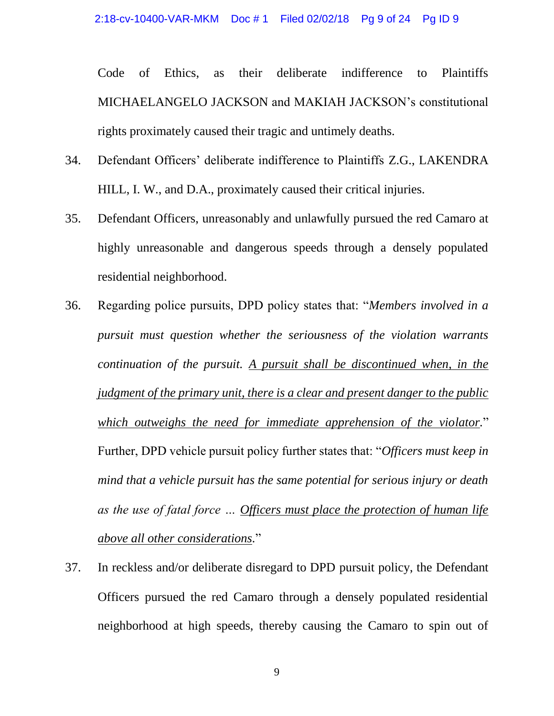Code of Ethics, as their deliberate indifference to Plaintiffs MICHAELANGELO JACKSON and MAKIAH JACKSON's constitutional rights proximately caused their tragic and untimely deaths.

- 34. Defendant Officers' deliberate indifference to Plaintiffs Z.G., LAKENDRA HILL, I. W., and D.A., proximately caused their critical injuries.
- 35. Defendant Officers, unreasonably and unlawfully pursued the red Camaro at highly unreasonable and dangerous speeds through a densely populated residential neighborhood.
- 36. Regarding police pursuits, DPD policy states that: "*Members involved in a pursuit must question whether the seriousness of the violation warrants continuation of the pursuit. A pursuit shall be discontinued when, in the judgment of the primary unit, there is a clear and present danger to the public which outweighs the need for immediate apprehension of the violator.*" Further, DPD vehicle pursuit policy further states that: "*Officers must keep in mind that a vehicle pursuit has the same potential for serious injury or death as the use of fatal force … Officers must place the protection of human life above all other considerations.*"
- 37. In reckless and/or deliberate disregard to DPD pursuit policy, the Defendant Officers pursued the red Camaro through a densely populated residential neighborhood at high speeds, thereby causing the Camaro to spin out of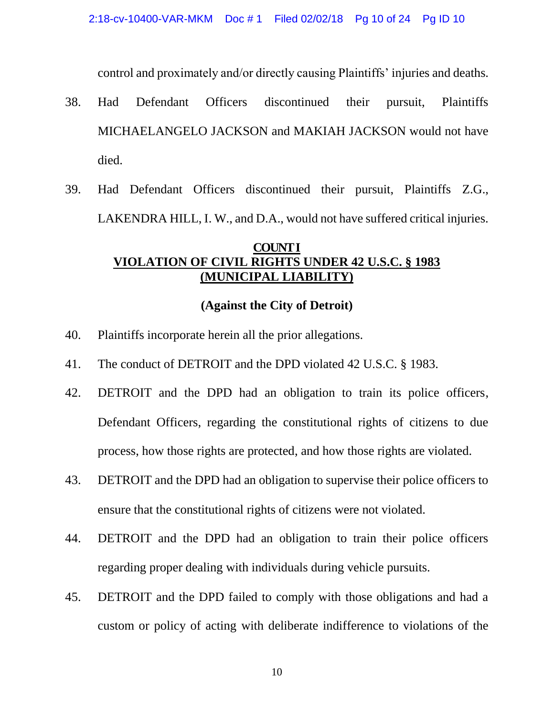control and proximately and/or directly causing Plaintiffs' injuries and deaths.

- 38. Had Defendant Officers discontinued their pursuit, Plaintiffs MICHAELANGELO JACKSON and MAKIAH JACKSON would not have died.
- 39. Had Defendant Officers discontinued their pursuit, Plaintiffs Z.G., LAKENDRA HILL, I. W., and D.A., would not have suffered critical injuries.

### **COUNT I VIOLATION OF CIVIL RIGHTS UNDER 42 U.S.C. § 1983 (MUNICIPAL LIABILITY)**

#### **(Against the City of Detroit)**

- 40. Plaintiffs incorporate herein all the prior allegations.
- 41. The conduct of DETROIT and the DPD violated 42 U.S.C. § 1983.
- 42. DETROIT and the DPD had an obligation to train its police officers, Defendant Officers, regarding the constitutional rights of citizens to due process, how those rights are protected, and how those rights are violated.
- 43. DETROIT and the DPD had an obligation to supervise their police officers to ensure that the constitutional rights of citizens were not violated.
- 44. DETROIT and the DPD had an obligation to train their police officers regarding proper dealing with individuals during vehicle pursuits.
- 45. DETROIT and the DPD failed to comply with those obligations and had a custom or policy of acting with deliberate indifference to violations of the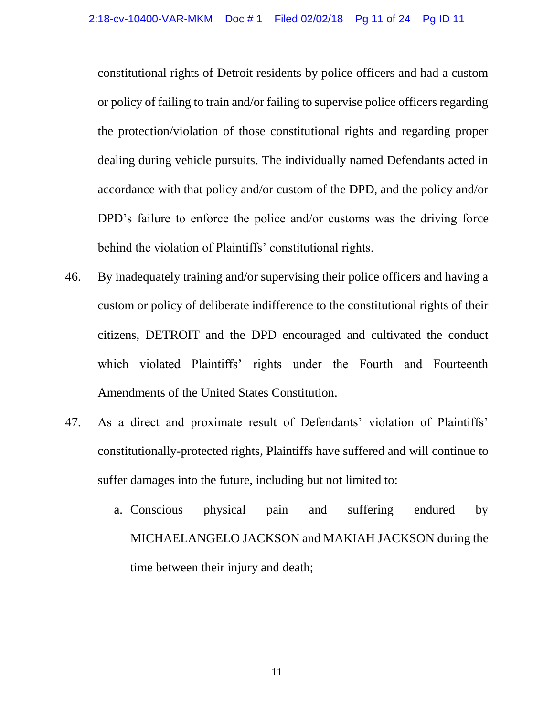constitutional rights of Detroit residents by police officers and had a custom or policy of failing to train and/or failing to supervise police officers regarding the protection/violation of those constitutional rights and regarding proper dealing during vehicle pursuits. The individually named Defendants acted in accordance with that policy and/or custom of the DPD, and the policy and/or DPD's failure to enforce the police and/or customs was the driving force behind the violation of Plaintiffs' constitutional rights.

- 46. By inadequately training and/or supervising their police officers and having a custom or policy of deliberate indifference to the constitutional rights of their citizens, DETROIT and the DPD encouraged and cultivated the conduct which violated Plaintiffs' rights under the Fourth and Fourteenth Amendments of the United States Constitution.
- 47. As a direct and proximate result of Defendants' violation of Plaintiffs' constitutionally-protected rights, Plaintiffs have suffered and will continue to suffer damages into the future, including but not limited to:
	- a. Conscious physical pain and suffering endured by MICHAELANGELO JACKSON and MAKIAH JACKSON during the time between their injury and death;

11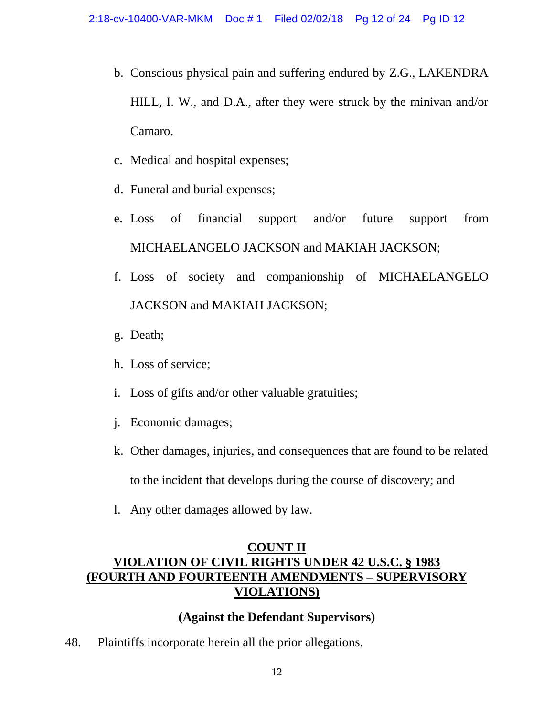- b. Conscious physical pain and suffering endured by Z.G., LAKENDRA HILL, I. W., and D.A., after they were struck by the minivan and/or Camaro.
- c. Medical and hospital expenses;
- d. Funeral and burial expenses;
- e. Loss of financial support and/or future support from MICHAELANGELO JACKSON and MAKIAH JACKSON;
- f. Loss of society and companionship of MICHAELANGELO JACKSON and MAKIAH JACKSON;
- g. Death;
- h. Loss of service;
- i. Loss of gifts and/or other valuable gratuities;
- j. Economic damages;
- k. Other damages, injuries, and consequences that are found to be related to the incident that develops during the course of discovery; and
- l. Any other damages allowed by law.

# **COUNT II VIOLATION OF CIVIL RIGHTS UNDER 42 U.S.C. § 1983 (FOURTH AND FOURTEENTH AMENDMENTS – SUPERVISORY VIOLATIONS)**

# **(Against the Defendant Supervisors)**

48. Plaintiffs incorporate herein all the prior allegations.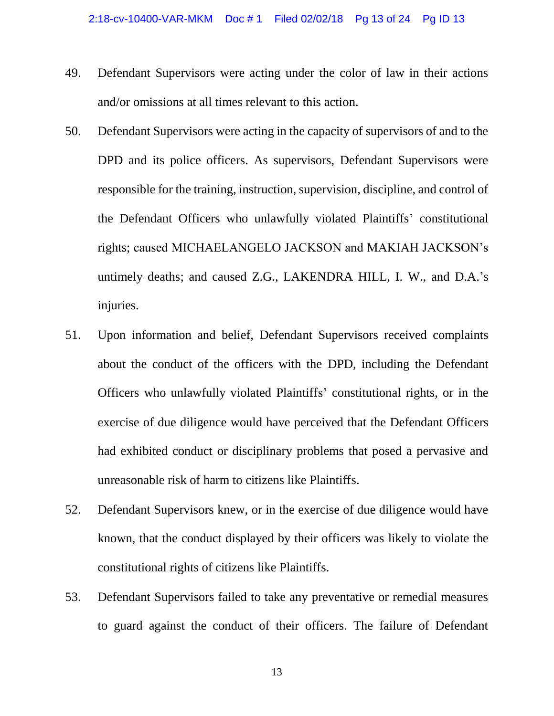- 49. Defendant Supervisors were acting under the color of law in their actions and/or omissions at all times relevant to this action.
- 50. Defendant Supervisors were acting in the capacity of supervisors of and to the DPD and its police officers. As supervisors, Defendant Supervisors were responsible for the training, instruction, supervision, discipline, and control of the Defendant Officers who unlawfully violated Plaintiffs' constitutional rights; caused MICHAELANGELO JACKSON and MAKIAH JACKSON's untimely deaths; and caused Z.G., LAKENDRA HILL, I. W., and D.A.'s injuries.
- 51. Upon information and belief, Defendant Supervisors received complaints about the conduct of the officers with the DPD, including the Defendant Officers who unlawfully violated Plaintiffs' constitutional rights, or in the exercise of due diligence would have perceived that the Defendant Officers had exhibited conduct or disciplinary problems that posed a pervasive and unreasonable risk of harm to citizens like Plaintiffs.
- 52. Defendant Supervisors knew, or in the exercise of due diligence would have known, that the conduct displayed by their officers was likely to violate the constitutional rights of citizens like Plaintiffs.
- 53. Defendant Supervisors failed to take any preventative or remedial measures to guard against the conduct of their officers. The failure of Defendant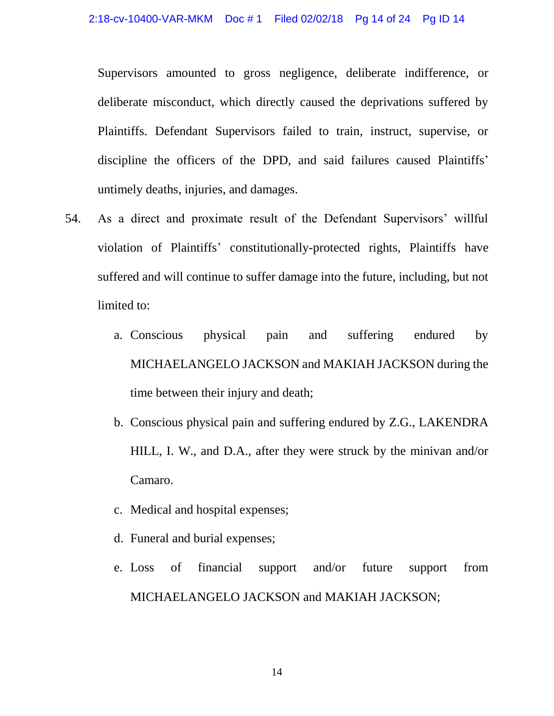Supervisors amounted to gross negligence, deliberate indifference, or deliberate misconduct, which directly caused the deprivations suffered by Plaintiffs. Defendant Supervisors failed to train, instruct, supervise, or discipline the officers of the DPD, and said failures caused Plaintiffs' untimely deaths, injuries, and damages.

- 54. As a direct and proximate result of the Defendant Supervisors' willful violation of Plaintiffs' constitutionally-protected rights, Plaintiffs have suffered and will continue to suffer damage into the future, including, but not limited to:
	- a. Conscious physical pain and suffering endured by MICHAELANGELO JACKSON and MAKIAH JACKSON during the time between their injury and death;
	- b. Conscious physical pain and suffering endured by Z.G., LAKENDRA HILL, I. W., and D.A., after they were struck by the minivan and/or Camaro.
	- c. Medical and hospital expenses;
	- d. Funeral and burial expenses;
	- e. Loss of financial support and/or future support from MICHAELANGELO JACKSON and MAKIAH JACKSON;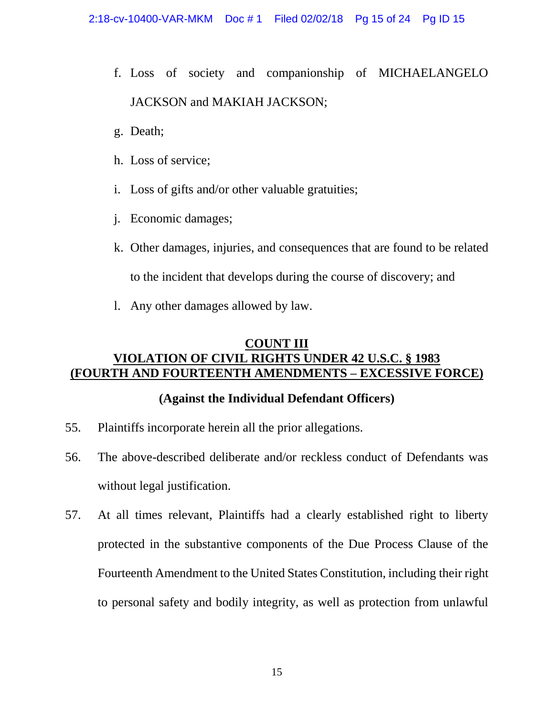- f. Loss of society and companionship of MICHAELANGELO JACKSON and MAKIAH JACKSON;
- g. Death;
- h. Loss of service;
- i. Loss of gifts and/or other valuable gratuities;
- j. Economic damages;
- k. Other damages, injuries, and consequences that are found to be related to the incident that develops during the course of discovery; and
- l. Any other damages allowed by law.

## **COUNT III VIOLATION OF CIVIL RIGHTS UNDER 42 U.S.C. § 1983 (FOURTH AND FOURTEENTH AMENDMENTS – EXCESSIVE FORCE)**

### **(Against the Individual Defendant Officers)**

- 55. Plaintiffs incorporate herein all the prior allegations.
- 56. The above-described deliberate and/or reckless conduct of Defendants was without legal justification.
- 57. At all times relevant, Plaintiffs had a clearly established right to liberty protected in the substantive components of the Due Process Clause of the Fourteenth Amendment to the United States Constitution, including their right to personal safety and bodily integrity, as well as protection from unlawful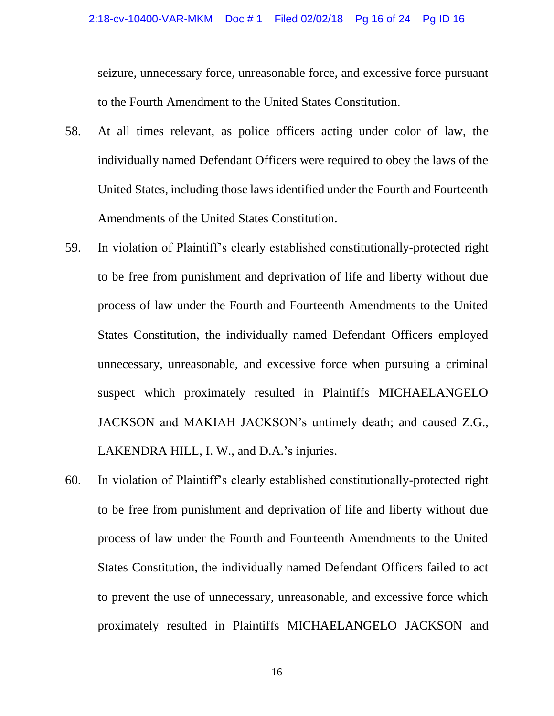seizure, unnecessary force, unreasonable force, and excessive force pursuant to the Fourth Amendment to the United States Constitution.

- 58. At all times relevant, as police officers acting under color of law, the individually named Defendant Officers were required to obey the laws of the United States, including those laws identified under the Fourth and Fourteenth Amendments of the United States Constitution.
- 59. In violation of Plaintiff's clearly established constitutionally-protected right to be free from punishment and deprivation of life and liberty without due process of law under the Fourth and Fourteenth Amendments to the United States Constitution, the individually named Defendant Officers employed unnecessary, unreasonable, and excessive force when pursuing a criminal suspect which proximately resulted in Plaintiffs MICHAELANGELO JACKSON and MAKIAH JACKSON's untimely death; and caused Z.G., LAKENDRA HILL, I. W., and D.A.'s injuries.
- 60. In violation of Plaintiff's clearly established constitutionally-protected right to be free from punishment and deprivation of life and liberty without due process of law under the Fourth and Fourteenth Amendments to the United States Constitution, the individually named Defendant Officers failed to act to prevent the use of unnecessary, unreasonable, and excessive force which proximately resulted in Plaintiffs MICHAELANGELO JACKSON and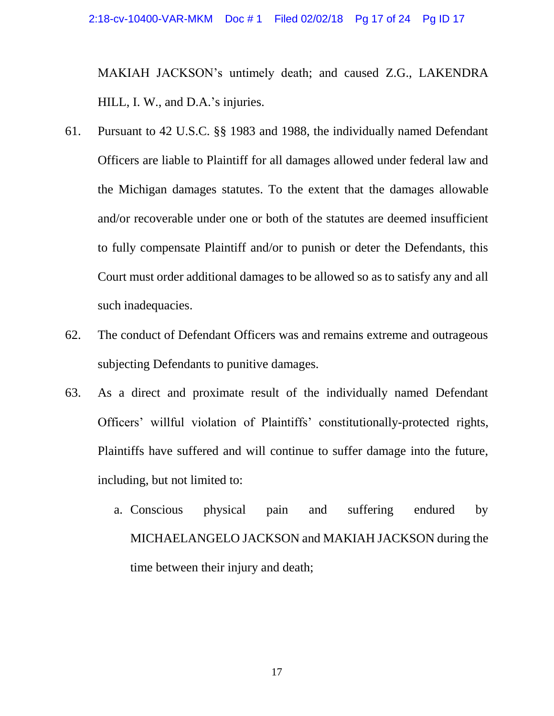MAKIAH JACKSON's untimely death; and caused Z.G., LAKENDRA HILL, I. W., and D.A.'s injuries.

- 61. Pursuant to 42 U.S.C. §§ 1983 and 1988, the individually named Defendant Officers are liable to Plaintiff for all damages allowed under federal law and the Michigan damages statutes. To the extent that the damages allowable and/or recoverable under one or both of the statutes are deemed insufficient to fully compensate Plaintiff and/or to punish or deter the Defendants, this Court must order additional damages to be allowed so as to satisfy any and all such inadequacies.
- 62. The conduct of Defendant Officers was and remains extreme and outrageous subjecting Defendants to punitive damages.
- 63. As a direct and proximate result of the individually named Defendant Officers' willful violation of Plaintiffs' constitutionally-protected rights, Plaintiffs have suffered and will continue to suffer damage into the future, including, but not limited to:
	- a. Conscious physical pain and suffering endured by MICHAELANGELO JACKSON and MAKIAH JACKSON during the time between their injury and death;

17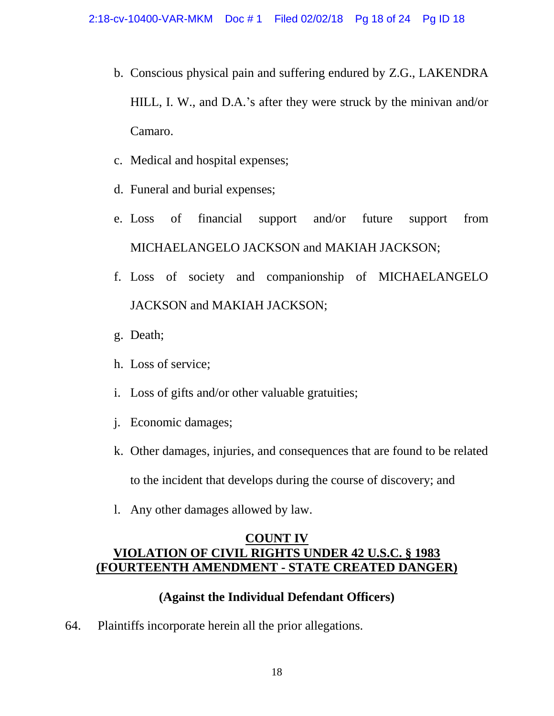- b. Conscious physical pain and suffering endured by Z.G., LAKENDRA HILL, I. W., and D.A.'s after they were struck by the minivan and/or Camaro.
- c. Medical and hospital expenses;
- d. Funeral and burial expenses;
- e. Loss of financial support and/or future support from MICHAELANGELO JACKSON and MAKIAH JACKSON;
- f. Loss of society and companionship of MICHAELANGELO JACKSON and MAKIAH JACKSON;
- g. Death;
- h. Loss of service;
- i. Loss of gifts and/or other valuable gratuities;
- j. Economic damages;
- k. Other damages, injuries, and consequences that are found to be related to the incident that develops during the course of discovery; and
- l. Any other damages allowed by law.

### **COUNT IV VIOLATION OF CIVIL RIGHTS UNDER 42 U.S.C. § 1983 (FOURTEENTH AMENDMENT - STATE CREATED DANGER)**

# **(Against the Individual Defendant Officers)**

64. Plaintiffs incorporate herein all the prior allegations.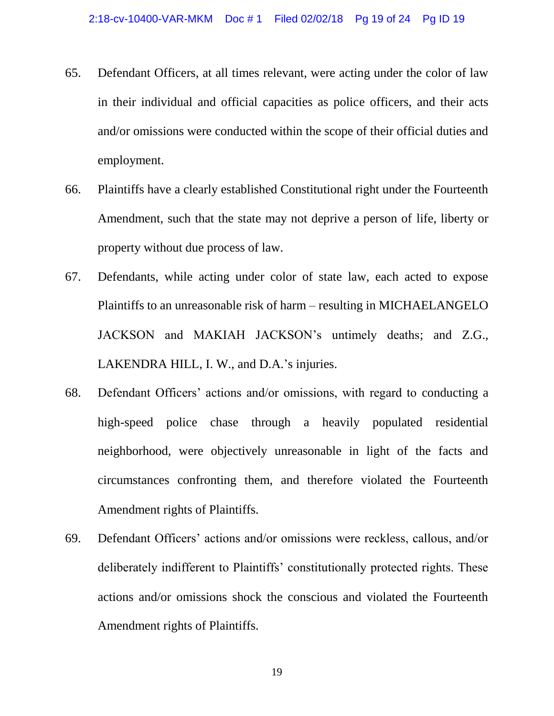- 65. Defendant Officers, at all times relevant, were acting under the color of law in their individual and official capacities as police officers, and their acts and/or omissions were conducted within the scope of their official duties and employment.
- 66. Plaintiffs have a clearly established Constitutional right under the Fourteenth Amendment, such that the state may not deprive a person of life, liberty or property without due process of law.
- 67. Defendants, while acting under color of state law, each acted to expose Plaintiffs to an unreasonable risk of harm – resulting in MICHAELANGELO JACKSON and MAKIAH JACKSON's untimely deaths; and Z.G., LAKENDRA HILL, I. W., and D.A.'s injuries.
- 68. Defendant Officers' actions and/or omissions, with regard to conducting a high-speed police chase through a heavily populated residential neighborhood, were objectively unreasonable in light of the facts and circumstances confronting them, and therefore violated the Fourteenth Amendment rights of Plaintiffs.
- 69. Defendant Officers' actions and/or omissions were reckless, callous, and/or deliberately indifferent to Plaintiffs' constitutionally protected rights. These actions and/or omissions shock the conscious and violated the Fourteenth Amendment rights of Plaintiffs.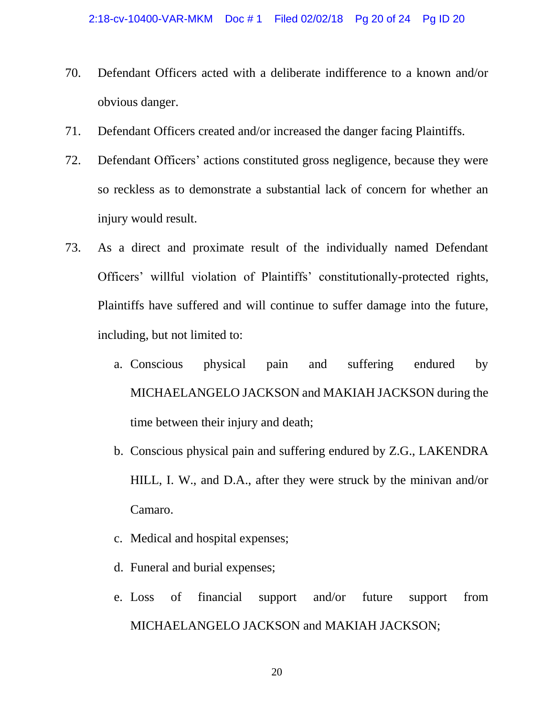- 70. Defendant Officers acted with a deliberate indifference to a known and/or obvious danger.
- 71. Defendant Officers created and/or increased the danger facing Plaintiffs.
- 72. Defendant Officers' actions constituted gross negligence, because they were so reckless as to demonstrate a substantial lack of concern for whether an injury would result.
- 73. As a direct and proximate result of the individually named Defendant Officers' willful violation of Plaintiffs' constitutionally-protected rights, Plaintiffs have suffered and will continue to suffer damage into the future, including, but not limited to:
	- a. Conscious physical pain and suffering endured by MICHAELANGELO JACKSON and MAKIAH JACKSON during the time between their injury and death;
	- b. Conscious physical pain and suffering endured by Z.G., LAKENDRA HILL, I. W., and D.A., after they were struck by the minivan and/or Camaro.
	- c. Medical and hospital expenses;
	- d. Funeral and burial expenses;
	- e. Loss of financial support and/or future support from MICHAELANGELO JACKSON and MAKIAH JACKSON;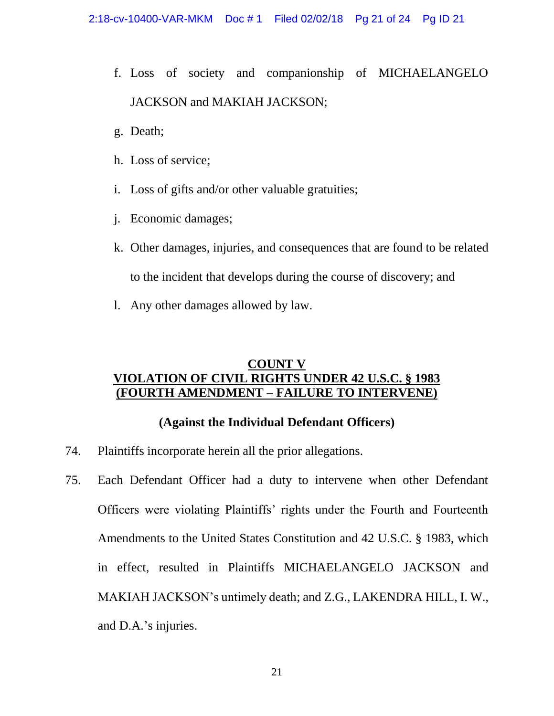- f. Loss of society and companionship of MICHAELANGELO JACKSON and MAKIAH JACKSON;
- g. Death;
- h. Loss of service;
- i. Loss of gifts and/or other valuable gratuities;
- j. Economic damages;
- k. Other damages, injuries, and consequences that are found to be related to the incident that develops during the course of discovery; and
- l. Any other damages allowed by law.

## **COUNT V VIOLATION OF CIVIL RIGHTS UNDER 42 U.S.C. § 1983 (FOURTH AMENDMENT – FAILURE TO INTERVENE)**

# **(Against the Individual Defendant Officers)**

- 74. Plaintiffs incorporate herein all the prior allegations.
- 75. Each Defendant Officer had a duty to intervene when other Defendant Officers were violating Plaintiffs' rights under the Fourth and Fourteenth Amendments to the United States Constitution and 42 U.S.C. § 1983, which in effect, resulted in Plaintiffs MICHAELANGELO JACKSON and MAKIAH JACKSON's untimely death; and Z.G., LAKENDRA HILL, I. W., and D.A.'s injuries.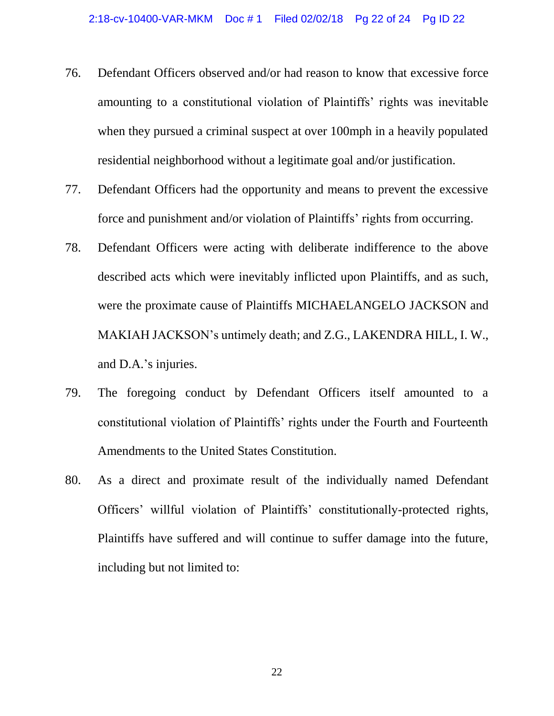- 76. Defendant Officers observed and/or had reason to know that excessive force amounting to a constitutional violation of Plaintiffs' rights was inevitable when they pursued a criminal suspect at over 100mph in a heavily populated residential neighborhood without a legitimate goal and/or justification.
- 77. Defendant Officers had the opportunity and means to prevent the excessive force and punishment and/or violation of Plaintiffs' rights from occurring.
- 78. Defendant Officers were acting with deliberate indifference to the above described acts which were inevitably inflicted upon Plaintiffs, and as such, were the proximate cause of Plaintiffs MICHAELANGELO JACKSON and MAKIAH JACKSON's untimely death; and Z.G., LAKENDRA HILL, I. W., and D.A.'s injuries.
- 79. The foregoing conduct by Defendant Officers itself amounted to a constitutional violation of Plaintiffs' rights under the Fourth and Fourteenth Amendments to the United States Constitution.
- 80. As a direct and proximate result of the individually named Defendant Officers' willful violation of Plaintiffs' constitutionally-protected rights, Plaintiffs have suffered and will continue to suffer damage into the future, including but not limited to: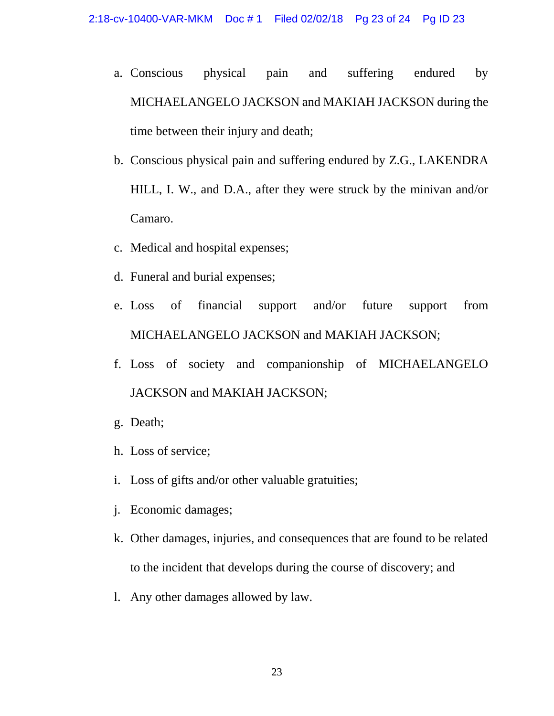- a. Conscious physical pain and suffering endured by MICHAELANGELO JACKSON and MAKIAH JACKSON during the time between their injury and death;
- b. Conscious physical pain and suffering endured by Z.G., LAKENDRA HILL, I. W., and D.A., after they were struck by the minivan and/or Camaro.
- c. Medical and hospital expenses;
- d. Funeral and burial expenses;
- e. Loss of financial support and/or future support from MICHAELANGELO JACKSON and MAKIAH JACKSON;
- f. Loss of society and companionship of MICHAELANGELO JACKSON and MAKIAH JACKSON;
- g. Death;
- h. Loss of service;
- i. Loss of gifts and/or other valuable gratuities;
- j. Economic damages;
- k. Other damages, injuries, and consequences that are found to be related to the incident that develops during the course of discovery; and
- l. Any other damages allowed by law.